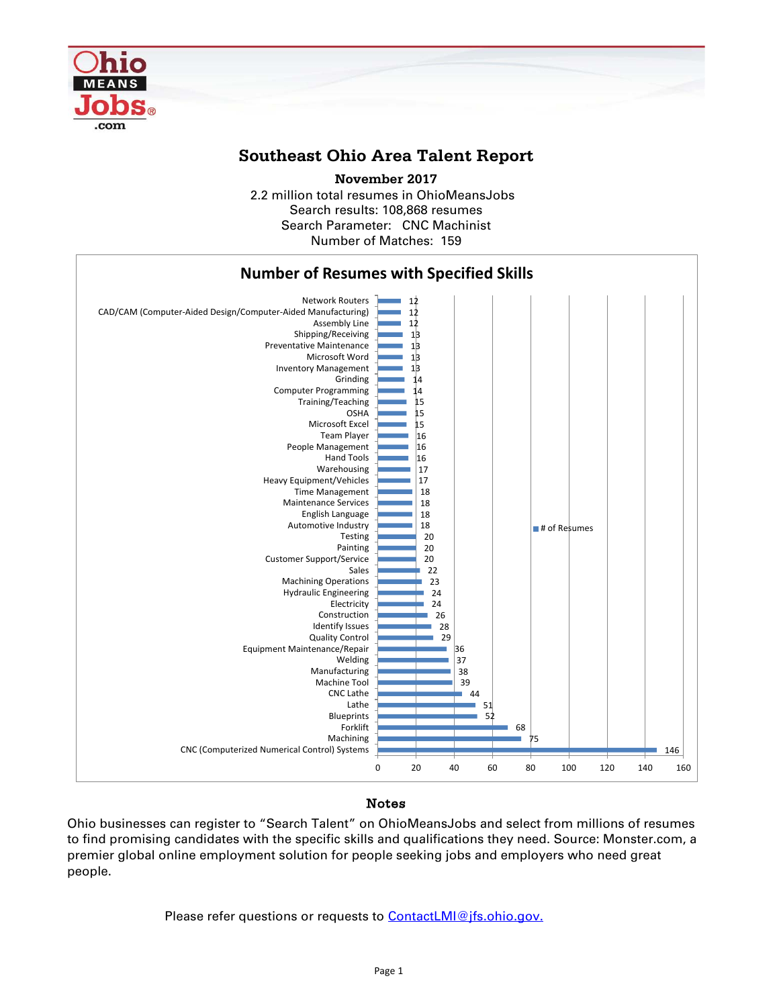

## **Southeast Ohio Area Talent Report**

2.2 million total resumes in OhioMeansJobs Search results: 108,868 resumes Number of Matches: 159 **November 2017** Search Parameter: CNC Machinist



## Notes

Ohio businesses can register to "Search Talent" on OhioMeansJobs and select from millions of resumes to find promising candidates with the specific skills and qualifications they need. Source: Monster.com, a premier global online employment solution for people seeking jobs and employers who need great people.

Please refer questions or requests to [ContactLMI@jfs.ohio.gov.](mailto:ContactLMI@jfs.ohio.gov.)